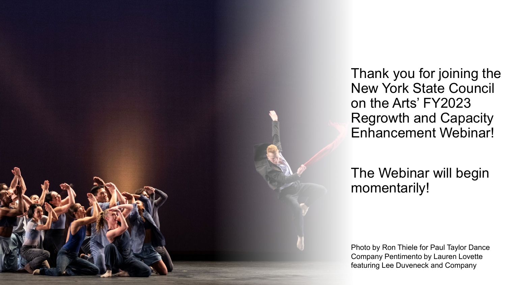Thank you for joining the New York State Council on the Arts' FY2023 Regrowth and Capacity Enhancement Webinar!

#### The Webinar will begin momentarily!

Photo by Ron Thiele for Paul Taylor Dance Company Pentimento by Lauren Lovette featuring Lee Duveneck and Company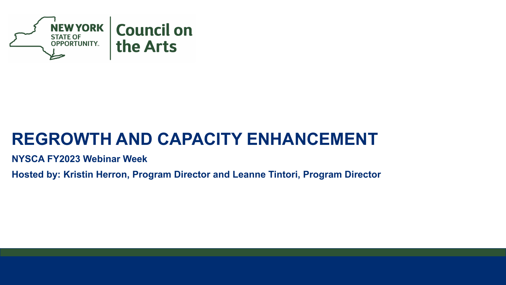

#### **REGROWTH AND CAPACITY ENHANCEMENT**

**NYSCA FY2023 Webinar Week**

**Hosted by: Kristin Herron, Program Director and Leanne Tintori, Program Director**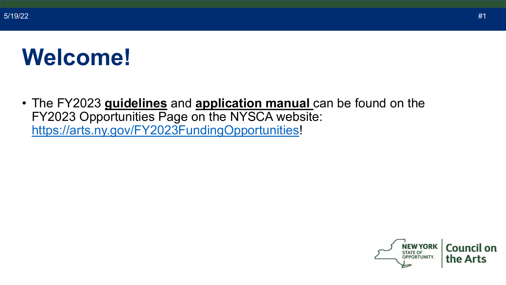#### **Welcome!**

• The FY2023 **guidelines** and **application manual** can be found on the FY2023 Opportunities Page on the NYSCA website: [https://arts.ny.gov/FY2023FundingOpportunities!](https://arts.ny.gov/FY2023FundingOpportunities)

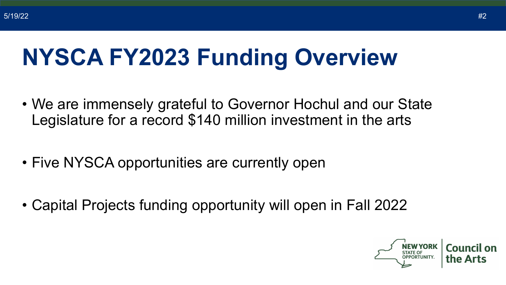# **NYSCA FY2023 Funding Overview**

- We are immensely grateful to Governor Hochul and our State Legislature for a record \$140 million investment in the arts
- Five NYSCA opportunities are currently open
- Capital Projects funding opportunity will open in Fall 2022

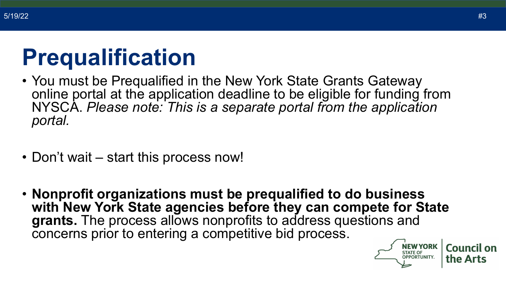#### **Prequalification**

- You must be Prequalified in the New York State Grants Gateway online portal at the application deadline to be eligible for funding from NYSCA. *Please note: This is a separate portal from the application portal.*
- Don't wait start this process now!
- **Nonprofit organizations must be prequalified to do business with New York State agencies before they can compete for State grants.** The process allows nonprofits to address questions and concerns prior to entering a competitive bid process.

**Council on** 

the Arts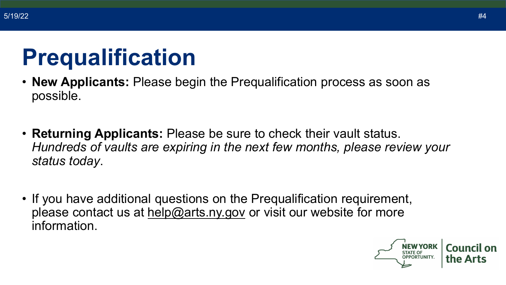#### **Prequalification**

- **New Applicants:** Please begin the Prequalification process as soon as possible.
- **Returning Applicants:** Please be sure to check their vault status. *Hundreds of vaults are expiring in the next few months, please review your status today*.
- If you have additional questions on the Prequalification requirement, please contact us at [help@arts.ny.gov](mailto:help@arts.ny.gov) or visit our website for more information.

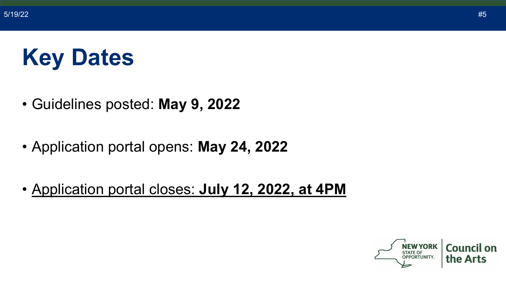## **Key Dates**

- Guidelines posted: **May 9, 2022**
- Application portal opens: **May 24, 2022**
- Application portal closes: **July 12, 2022, at 4PM**

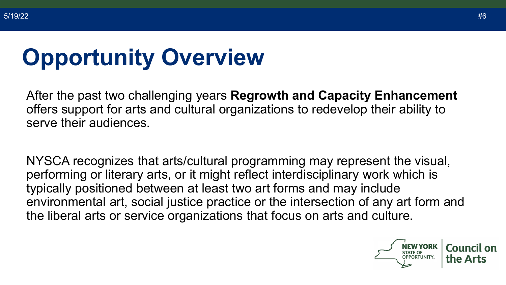# **Opportunity Overview**

After the past two challenging years **Regrowth and Capacity Enhancement**  offers support for arts and cultural organizations to redevelop their ability to serve their audiences.

NYSCA recognizes that arts/cultural programming may represent the visual, performing or literary arts, or it might reflect interdisciplinary work which is typically positioned between at least two art forms and may include environmental art, social justice practice or the intersection of any art form and the liberal arts or service organizations that focus on arts and culture.

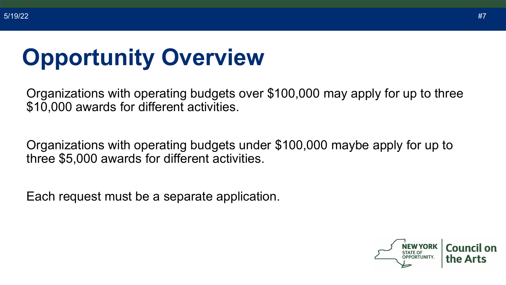#### **Opportunity Overview**

Organizations with operating budgets over \$100,000 may apply for up to three \$10,000 awards for different activities.

Organizations with operating budgets under \$100,000 maybe apply for up to three \$5,000 awards for different activities.

Each request must be a separate application.

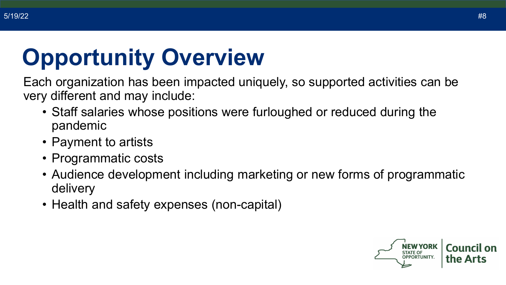# **Opportunity Overview**

Each organization has been impacted uniquely, so supported activities can be very different and may include:

- Staff salaries whose positions were furloughed or reduced during the pandemic
- Payment to artists
- Programmatic costs
- Audience development including marketing or new forms of programmatic delivery
- Health and safety expenses (non-capital)

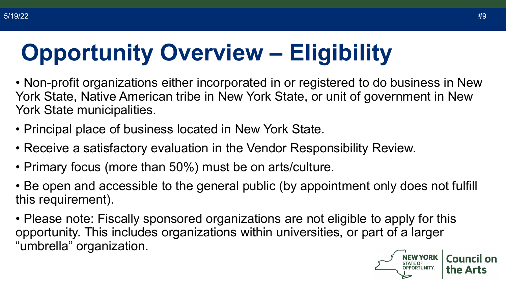# **Opportunity Overview – Eligibility**

• Non-profit organizations either incorporated in or registered to do business in New York State, Native American tribe in New York State, or unit of government in New York State municipalities.

- Principal place of business located in New York State.
- Receive a satisfactory evaluation in the Vendor Responsibility Review.
- Primary focus (more than 50%) must be on arts/culture.
- Be open and accessible to the general public (by appointment only does not fulfill this requirement).
- Please note: Fiscally sponsored organizations are not eligible to apply for this opportunity. This includes organizations within universities, or part of a larger "umbrella" organization.

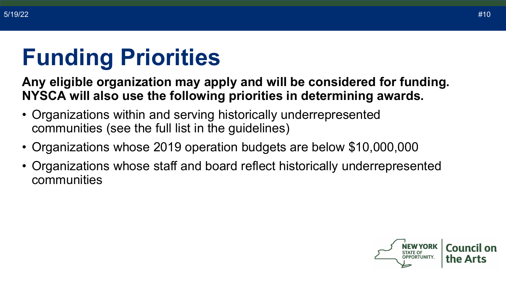# **Funding Priorities**

**Any eligible organization may apply and will be considered for funding. NYSCA will also use the following priorities in determining awards.**

- Organizations within and serving historically underrepresented communities (see the full list in the guidelines)
- Organizations whose 2019 operation budgets are below \$10,000,000
- Organizations whose staff and board reflect historically underrepresented communities

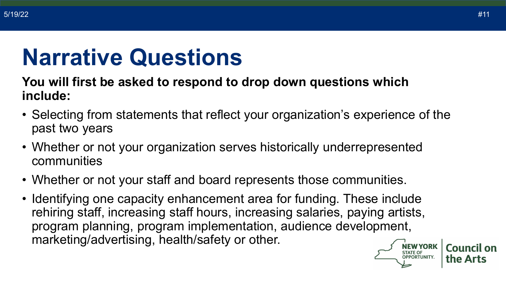#### **Narrative Questions**

#### **You will first be asked to respond to drop down questions which include:**

- Selecting from statements that reflect your organization's experience of the past two years
- Whether or not your organization serves historically underrepresented communities
- Whether or not your staff and board represents those communities.
- Identifying one capacity enhancement area for funding. These include rehiring staff, increasing staff hours, increasing salaries, paying artists, program planning, program implementation, audience development, marketing/advertising, health/safety or other.

Council on

the Arts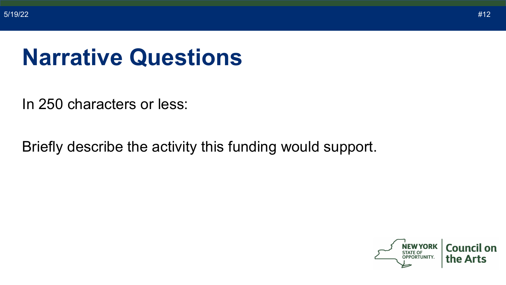#### **Narrative Questions**

In 250 characters or less:

Briefly describe the activity this funding would support.

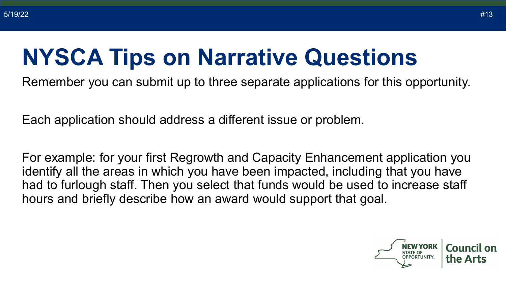#### **NYSCA Tips on Narrative Questions**

Remember you can submit up to three separate applications for this opportunity.

Each application should address a different issue or problem.

For example: for your first Regrowth and Capacity Enhancement application you identify all the areas in which you have been impacted, including that you have had to furlough staff. Then you select that funds would be used to increase staff hours and briefly describe how an award would support that goal.

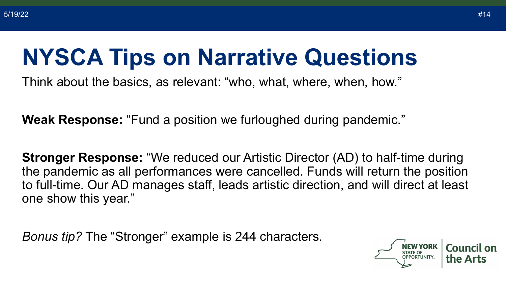#### **NYSCA Tips on Narrative Questions**

Think about the basics, as relevant: "who, what, where, when, how."

**Weak Response:** "Fund a position we furloughed during pandemic."

**Stronger Response:** "We reduced our Artistic Director (AD) to half-time during the pandemic as all performances were cancelled. Funds will return the position to full-time. Our AD manages staff, leads artistic direction, and will direct at least one show this year."

*Bonus tip?* The "Stronger" example is 244 characters.

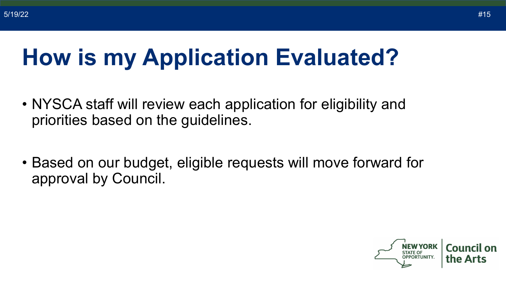#### **How is my Application Evaluated?**

- NYSCA staff will review each application for eligibility and priorities based on the guidelines.
- Based on our budget, eligible requests will move forward for approval by Council.

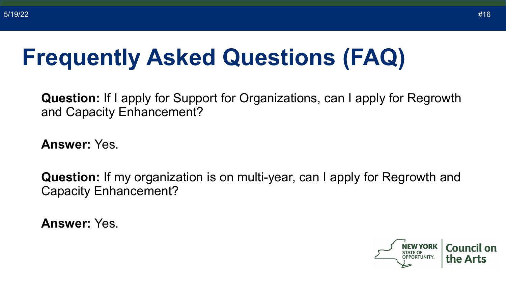**Question:** If I apply for Support for Organizations, can I apply for Regrowth and Capacity Enhancement?

**Answer:** Yes.

**Question:** If my organization is on multi-year, can I apply for Regrowth and Capacity Enhancement?

**Answer:** Yes.

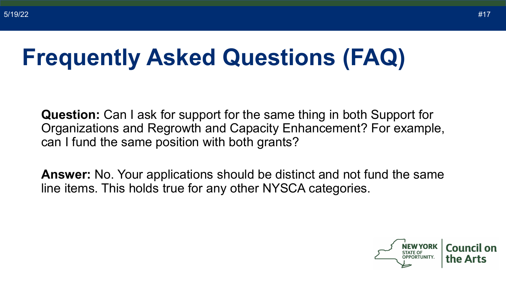**Question:** Can I ask for support for the same thing in both Support for Organizations and Regrowth and Capacity Enhancement? For example, can I fund the same position with both grants?

**Answer:** No. Your applications should be distinct and not fund the same line items. This holds true for any other NYSCA categories.

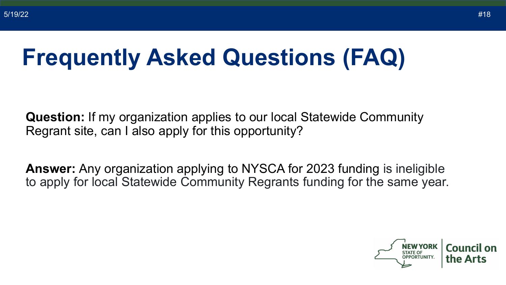**Question:** If my organization applies to our local Statewide Community Regrant site, can I also apply for this opportunity?

**Answer:** Any organization applying to NYSCA for 2023 funding is ineligible to apply for local Statewide Community Regrants funding for the same year.

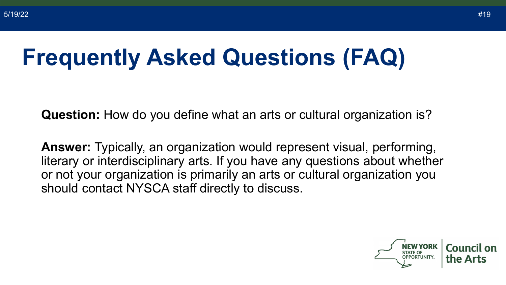**Question:** How do you define what an arts or cultural organization is?

**Answer:** Typically, an organization would represent visual, performing, literary or interdisciplinary arts. If you have any questions about whether or not your organization is primarily an arts or cultural organization you should contact NYSCA staff directly to discuss.

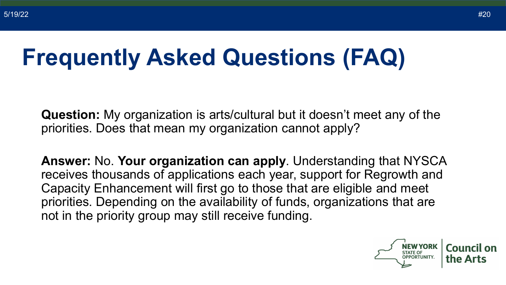**Question:** My organization is arts/cultural but it doesn't meet any of the priorities. Does that mean my organization cannot apply?

**Answer:** No. **Your organization can apply**. Understanding that NYSCA receives thousands of applications each year, support for Regrowth and Capacity Enhancement will first go to those that are eligible and meet priorities. Depending on the availability of funds, organizations that are not in the priority group may still receive funding.

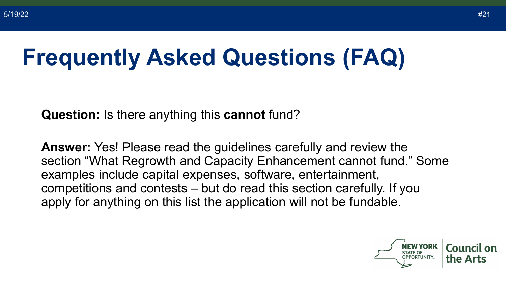**Question:** Is there anything this **cannot** fund?

**Answer:** Yes! Please read the guidelines carefully and review the section "What Regrowth and Capacity Enhancement cannot fund." Some examples include capital expenses, software, entertainment, competitions and contests – but do read this section carefully. If you apply for anything on this list the application will not be fundable.

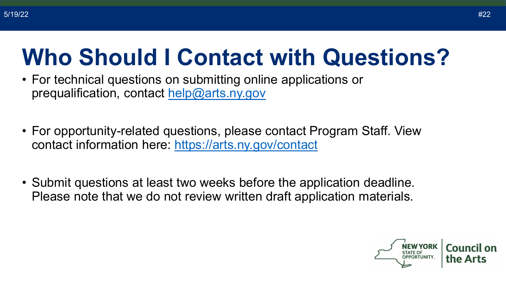#### **Who Should I Contact with Questions?**

- For technical questions on submitting online applications or prequalification, contact [help@arts.ny.gov](mailto:help@arts.ny.gov)
- For opportunity-related questions, please contact Program Staff. View contact information here:<https://arts.ny.gov/contact>
- Submit questions at least two weeks before the application deadline. Please note that we do not review written draft application materials.

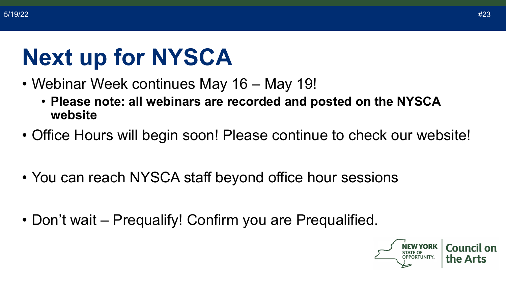#### **Next up for NYSCA**

- Webinar Week continues May 16 May 19!
	- **Please note: all webinars are recorded and posted on the NYSCA website**
- Office Hours will begin soon! Please continue to check our website!
- You can reach NYSCA staff beyond office hour sessions
- Don't wait Prequalify! Confirm you are Prequalified.